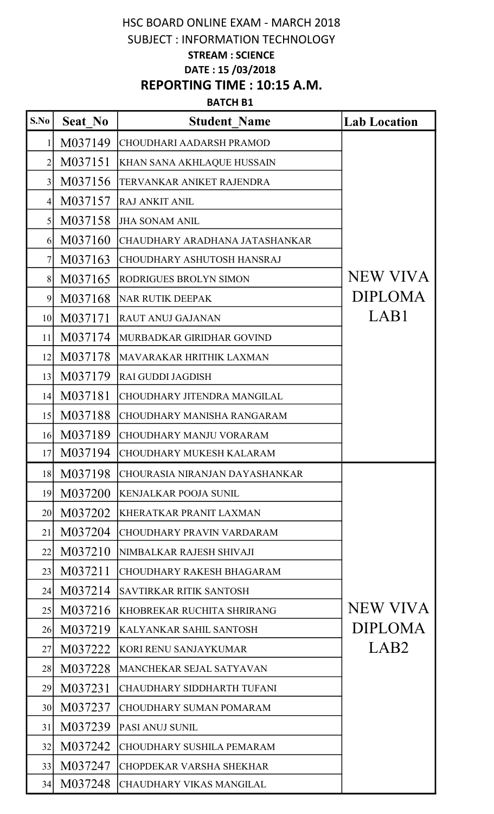# HSC BOARD ONLINE EXAM - MARCH 2018 SUBJECT : INFORMATION TECHNOLOGY STREAM : SCIENCE DATE : 15 /03/2018 REPORTING TIME : 10:15 A.M.

#### BATCH B1

| S.No             | Seat No | <b>Student Name</b>               | <b>Lab Location</b> |
|------------------|---------|-----------------------------------|---------------------|
| $\mathbf{1}$     | M037149 | CHOUDHARI AADARSH PRAMOD          |                     |
| $\overline{2}$   | M037151 | KHAN SANA AKHLAQUE HUSSAIN        |                     |
| $\overline{3}$   | M037156 | TERVANKAR ANIKET RAJENDRA         |                     |
| $\left 4\right $ | M037157 | <b>RAJ ANKIT ANIL</b>             |                     |
| $\vert 5 \vert$  | M037158 | <b>JHA SONAM ANIL</b>             |                     |
| 6                | M037160 | CHAUDHARY ARADHANA JATASHANKAR    |                     |
| $\overline{7}$   | M037163 | <b>CHOUDHARY ASHUTOSH HANSRAJ</b> |                     |
| 8                | M037165 | RODRIGUES BROLYN SIMON            | NEW VIVA            |
| 9                | M037168 | <b>NAR RUTIK DEEPAK</b>           | <b>DIPLOMA</b>      |
| 10 <sup>1</sup>  | M037171 | <b>RAUT ANUJ GAJANAN</b>          | LAB1                |
| 11               | M037174 | MURBADKAR GIRIDHAR GOVIND         |                     |
| 12               | M037178 | <b>MAVARAKAR HRITHIK LAXMAN</b>   |                     |
| 13               | M037179 | <b>RAI GUDDI JAGDISH</b>          |                     |
| 14               | M037181 | CHOUDHARY JITENDRA MANGILAL       |                     |
| 15               | M037188 | CHOUDHARY MANISHA RANGARAM        |                     |
| 16               | M037189 | <b>CHOUDHARY MANJU VORARAM</b>    |                     |
| 17               | M037194 | <b>CHOUDHARY MUKESH KALARAM</b>   |                     |
| 18               | M037198 | CHOURASIA NIRANJAN DAYASHANKAR    |                     |
| 19               | M037200 | <b>KENJALKAR POOJA SUNIL</b>      |                     |
| 20               | M037202 | KHERATKAR PRANIT LAXMAN           |                     |
| 21               | M037204 | <b>CHOUDHARY PRAVIN VARDARAM</b>  |                     |
| 22               | M037210 | NIMBALKAR RAJESH SHIVAJI          |                     |
| 23               | M037211 | CHOUDHARY RAKESH BHAGARAM         |                     |
| 24               | M037214 | SAVTIRKAR RITIK SANTOSH           |                     |
| 25               | M037216 | KHOBREKAR RUCHITA SHRIRANG        | NEW VIVA            |
| 26               | M037219 | KALYANKAR SAHIL SANTOSH           | <b>DIPLOMA</b>      |
| 27               | M037222 | KORI RENU SANJAYKUMAR             | LAB <sub>2</sub>    |
| 28               | M037228 | MANCHEKAR SEJAL SATYAVAN          |                     |
| 29               | M037231 | CHAUDHARY SIDDHARTH TUFANI        |                     |
| 30 <sup>l</sup>  | M037237 | <b>CHOUDHARY SUMAN POMARAM</b>    |                     |
| 31               | M037239 | PASI ANUJ SUNIL                   |                     |
| 32               | M037242 | <b>CHOUDHARY SUSHILA PEMARAM</b>  |                     |
| 33               | M037247 | <b>CHOPDEKAR VARSHA SHEKHAR</b>   |                     |
| 34               | M037248 | CHAUDHARY VIKAS MANGILAL          |                     |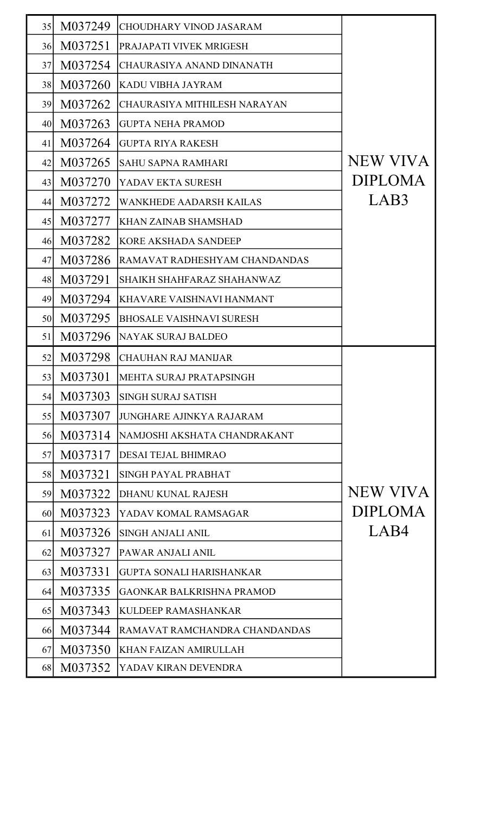| 35 | M037249 | <b>CHOUDHARY VINOD JASARAM</b>   |                 |
|----|---------|----------------------------------|-----------------|
| 36 | M037251 | PRAJAPATI VIVEK MRIGESH          |                 |
| 37 | M037254 | CHAURASIYA ANAND DINANATH        |                 |
| 38 | M037260 | KADU VIBHA JAYRAM                |                 |
| 39 | M037262 | CHAURASIYA MITHILESH NARAYAN     |                 |
| 40 | M037263 | <b>GUPTA NEHA PRAMOD</b>         |                 |
| 41 | M037264 | <b>GUPTA RIYA RAKESH</b>         |                 |
| 42 | M037265 | <b>SAHU SAPNA RAMHARI</b>        | <b>NEW VIVA</b> |
| 43 | M037270 | YADAV EKTA SURESH                | <b>DIPLOMA</b>  |
| 44 | M037272 | <b>WANKHEDE AADARSH KAILAS</b>   | LAB3            |
| 45 | M037277 | <b>KHAN ZAINAB SHAMSHAD</b>      |                 |
| 46 | M037282 | <b>KORE AKSHADA SANDEEP</b>      |                 |
| 47 | M037286 | RAMAVAT RADHESHYAM CHANDANDAS    |                 |
| 48 | M037291 | SHAIKH SHAHFARAZ SHAHANWAZ       |                 |
| 49 | M037294 | KHAVARE VAISHNAVI HANMANT        |                 |
| 50 | M037295 | <b>BHOSALE VAISHNAVI SURESH</b>  |                 |
| 51 | M037296 | NAYAK SURAJ BALDEO               |                 |
| 52 | M037298 | <b>CHAUHAN RAJ MANIJAR</b>       |                 |
| 53 | M037301 | MEHTA SURAJ PRATAPSINGH          |                 |
| 54 | M037303 | <b>SINGH SURAJ SATISH</b>        |                 |
|    |         |                                  |                 |
| 55 | M037307 | <b>JUNGHARE AJINKYA RAJARAM</b>  |                 |
| 56 | M037314 | NAMJOSHI AKSHATA CHANDRAKANT     |                 |
| 57 | M037317 | <b>DESAI TEJAL BHIMRAO</b>       |                 |
| 58 | M037321 | SINGH PAYAL PRABHAT              |                 |
| 59 | M037322 | DHANU KUNAL RAJESH               | <b>NEW VIVA</b> |
| 60 | M037323 | YADAV KOMAL RAMSAGAR             | <b>DIPLOMA</b>  |
| 61 | M037326 | <b>SINGH ANJALI ANIL</b>         | LAB4            |
| 62 | M037327 | PAWAR ANJALI ANIL                |                 |
| 63 | M037331 | <b>GUPTA SONALI HARISHANKAR</b>  |                 |
| 64 | M037335 | <b>GAONKAR BALKRISHNA PRAMOD</b> |                 |
| 65 | M037343 | KULDEEP RAMASHANKAR              |                 |
| 66 | M037344 | RAMAVAT RAMCHANDRA CHANDANDAS    |                 |
| 67 | M037350 | <b>KHAN FAIZAN AMIRULLAH</b>     |                 |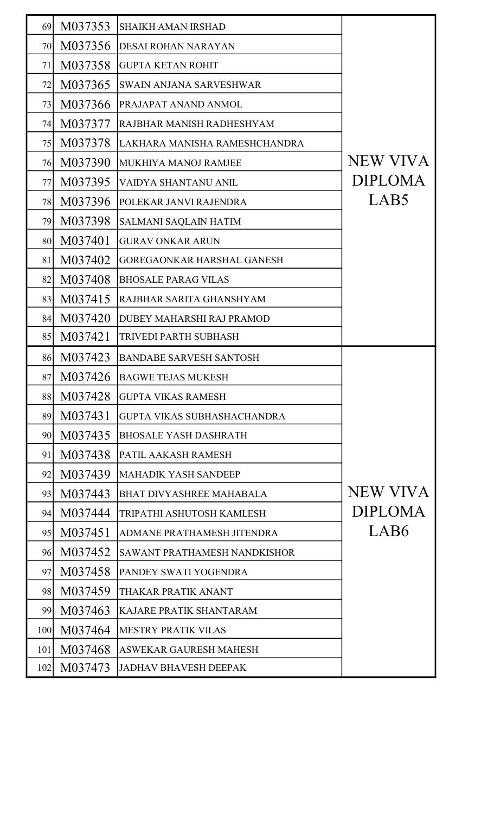| 69              | M037353 | <b>SHAIKH AMAN IRSHAD</b>           |                 |
|-----------------|---------|-------------------------------------|-----------------|
| 70              | M037356 | <b>DESAI ROHAN NARAYAN</b>          |                 |
| 71              | M037358 | <b>GUPTA KETAN ROHIT</b>            |                 |
| 72              | M037365 | <b>SWAIN ANJANA SARVESHWAR</b>      |                 |
| 73              | M037366 | PRAJAPAT ANAND ANMOL                |                 |
| 74              | M037377 | RAJBHAR MANISH RADHESHYAM           |                 |
| 75              | M037378 | LAKHARA MANISHA RAMESHCHANDRA       |                 |
| 76              | M037390 | MUKHIYA MANOJ RAMJEE                | NEW VIVA        |
| 77              | M037395 | VAIDYA SHANTANU ANIL                | <b>DIPLOMA</b>  |
| 78              | M037396 | POLEKAR JANVI RAJENDRA              | LAB5            |
| 79              | M037398 | <b>SALMANI SAQLAIN HATIM</b>        |                 |
| 80              | M037401 | <b>GURAV ONKAR ARUN</b>             |                 |
| 81              | M037402 | <b>GOREGAONKAR HARSHAL GANESH</b>   |                 |
| 82              | M037408 | <b>BHOSALE PARAG VILAS</b>          |                 |
| 83              | M037415 | RAJBHAR SARITA GHANSHYAM            |                 |
| 84              | M037420 | DUBEY MAHARSHI RAJ PRAMOD           |                 |
| 85              | M037421 | TRIVEDI PARTH SUBHASH               |                 |
| 86              | M037423 | <b>BANDABE SARVESH SANTOSH</b>      |                 |
| 87              | M037426 | <b>BAGWE TEJAS MUKESH</b>           |                 |
| 88              | M037428 | <b>GUPTA VIKAS RAMESH</b>           |                 |
| 89              | M037431 | <b>GUPTA VIKAS SUBHASHACHANDRA</b>  |                 |
| 90 <sub>l</sub> | M037435 | <b>BHOSALE YASH DASHRATH</b>        |                 |
| 91              | M037438 | PATIL AAKASH RAMESH                 |                 |
| 92              | M037439 | <b>MAHADIK YASH SANDEEP</b>         |                 |
| 93              | M037443 | <b>BHAT DIVYASHREE MAHABALA</b>     | <b>NEW VIVA</b> |
| 94              | M037444 | TRIPATHI ASHUTOSH KAMLESH           | <b>DIPLOMA</b>  |
| 95              | M037451 | ADMANE PRATHAMESH JITENDRA          | LAB6            |
| 96              | M037452 | <b>SAWANT PRATHAMESH NANDKISHOR</b> |                 |
| 97              | M037458 | PANDEY SWATI YOGENDRA               |                 |
| 98              | M037459 | THAKAR PRATIK ANANT                 |                 |
| 99              | M037463 | KAJARE PRATIK SHANTARAM             |                 |
| 100             | M037464 | <b>MESTRY PRATIK VILAS</b>          |                 |
| 101             | M037468 | ASWEKAR GAURESH MAHESH              |                 |
| 102             | M037473 | <b>JADHAV BHAVESH DEEPAK</b>        |                 |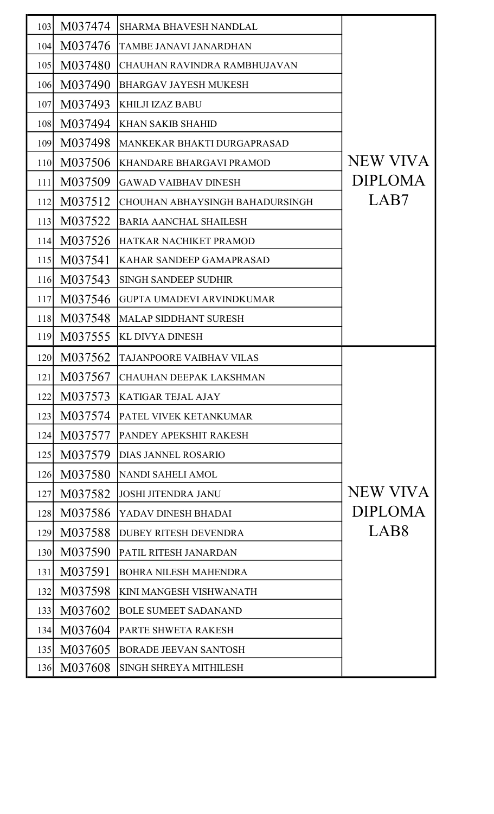| 103 | M037474 | <b>SHARMA BHAVESH NANDLAL</b>    |                  |
|-----|---------|----------------------------------|------------------|
| 104 | M037476 | TAMBE JANAVI JANARDHAN           |                  |
| 105 | M037480 | CHAUHAN RAVINDRA RAMBHUJAVAN     |                  |
| 106 | M037490 | <b>BHARGAV JAYESH MUKESH</b>     |                  |
| 107 | M037493 | <b>KHILJI IZAZ BABU</b>          |                  |
| 108 | M037494 | <b>KHAN SAKIB SHAHID</b>         |                  |
| 109 | M037498 | MANKEKAR BHAKTI DURGAPRASAD      |                  |
| 110 | M037506 | <b>KHANDARE BHARGAVI PRAMOD</b>  | <b>NEW VIVA</b>  |
| 111 | M037509 | <b>GAWAD VAIBHAV DINESH</b>      | <b>DIPLOMA</b>   |
| 112 | M037512 | CHOUHAN ABHAYSINGH BAHADURSINGH  | LAB7             |
| 113 | M037522 | <b>BARIA AANCHAL SHAILESH</b>    |                  |
| 114 | M037526 | HATKAR NACHIKET PRAMOD           |                  |
| 115 | M037541 | KAHAR SANDEEP GAMAPRASAD         |                  |
| 116 | M037543 | <b>SINGH SANDEEP SUDHIR</b>      |                  |
| 117 | M037546 | <b>GUPTA UMADEVI ARVINDKUMAR</b> |                  |
| 118 | M037548 | <b>MALAP SIDDHANT SURESH</b>     |                  |
| 119 | M037555 | KL DIVYA DINESH                  |                  |
| 120 | M037562 | TAJANPOORE VAIBHAV VILAS         |                  |
| 121 | M037567 | CHAUHAN DEEPAK LAKSHMAN          |                  |
| 122 | M037573 | <b>KATIGAR TEJAL AJAY</b>        |                  |
| 123 | M037574 | PATEL VIVEK KETANKUMAR           |                  |
| 124 | M037577 | PANDEY APEKSHIT RAKESH           |                  |
| 125 | M037579 | <b>DIAS JANNEL ROSARIO</b>       |                  |
| 126 | M037580 | NANDI SAHELI AMOL                |                  |
| 127 | M037582 | <b>JOSHI JITENDRA JANU</b>       | <b>NEW VIVA</b>  |
| 128 | M037586 | YADAV DINESH BHADAI              | <b>DIPLOMA</b>   |
| 129 | M037588 | <b>DUBEY RITESH DEVENDRA</b>     | LAB <sub>8</sub> |
| 130 | M037590 | PATIL RITESH JANARDAN            |                  |
| 131 | M037591 | <b>BOHRA NILESH MAHENDRA</b>     |                  |
| 132 | M037598 | KINI MANGESH VISHWANATH          |                  |
| 133 | M037602 | <b>BOLE SUMEET SADANAND</b>      |                  |
| 134 | M037604 | PARTE SHWETA RAKESH              |                  |
| 135 | M037605 | <b>BORADE JEEVAN SANTOSH</b>     |                  |
| 136 | M037608 | <b>SINGH SHREYA MITHILESH</b>    |                  |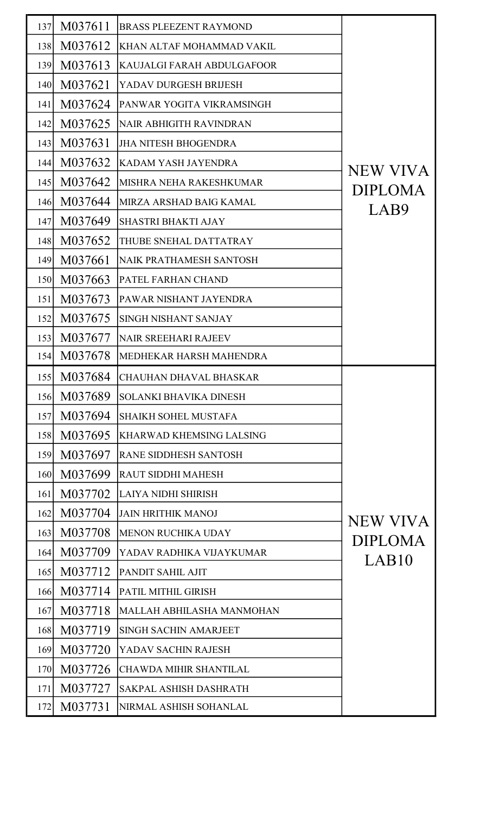| 137 | M037611 | <b>BRASS PLEEZENT RAYMOND</b>   |                 |
|-----|---------|---------------------------------|-----------------|
| 138 | M037612 | KHAN ALTAF MOHAMMAD VAKIL       |                 |
| 139 | M037613 | KAUJALGI FARAH ABDULGAFOOR      |                 |
| 140 | M037621 | YADAV DURGESH BRIJESH           |                 |
| 141 | M037624 | PANWAR YOGITA VIKRAMSINGH       |                 |
| 142 | M037625 | <b>NAIR ABHIGITH RAVINDRAN</b>  |                 |
| 143 | M037631 | <b>JHA NITESH BHOGENDRA</b>     |                 |
| 144 | M037632 | <b>KADAM YASH JAYENDRA</b>      | <b>NEW VIVA</b> |
| 145 | M037642 | MISHRA NEHA RAKESHKUMAR         | <b>DIPLOMA</b>  |
| 146 | M037644 | MIRZA ARSHAD BAIG KAMAL         | LAB9            |
| 147 | M037649 | <b>SHASTRI BHAKTI AJAY</b>      |                 |
| 148 | M037652 | THUBE SNEHAL DATTATRAY          |                 |
| 149 | M037661 | <b>NAIK PRATHAMESH SANTOSH</b>  |                 |
| 150 | M037663 | PATEL FARHAN CHAND              |                 |
| 151 | M037673 | PAWAR NISHANT JAYENDRA          |                 |
| 152 | M037675 | <b>SINGH NISHANT SANJAY</b>     |                 |
| 153 | M037677 | <b>NAIR SREEHARI RAJEEV</b>     |                 |
| 154 | M037678 | IMEDHEKAR HARSH MAHENDRA        |                 |
| 155 |         | M037684 CHAUHAN DHAVAL BHASKAR  |                 |
| 156 | M037689 | <b>SOLANKI BHAVIKA DINESH</b>   |                 |
| 157 | M037694 | <b>SHAIKH SOHEL MUSTAFA</b>     |                 |
| 158 | M037695 | <b>KHARWAD KHEMSING LALSING</b> |                 |
| 159 | M037697 | <b>RANE SIDDHESH SANTOSH</b>    |                 |
| 160 | M037699 | <b>RAUT SIDDHI MAHESH</b>       |                 |
| 161 | M037702 | <b>LAIYA NIDHI SHIRISH</b>      |                 |
| 162 | M037704 | <b>JAIN HRITHIK MANOJ</b>       | NEW VIVA        |
| 163 | M037708 | <b>MENON RUCHIKA UDAY</b>       | <b>DIPLOMA</b>  |
| 164 | M037709 | YADAV RADHIKA VIJAYKUMAR        | LAB10           |
| 165 | M037712 | PANDIT SAHIL AJIT               |                 |
| 166 | M037714 | PATIL MITHIL GIRISH             |                 |
| 167 | M037718 | MALLAH ABHILASHA MANMOHAN       |                 |
| 168 | M037719 | <b>SINGH SACHIN AMARJEET</b>    |                 |
| 169 | M037720 | YADAV SACHIN RAJESH             |                 |
| 170 | M037726 | <b>CHAWDA MIHIR SHANTILAL</b>   |                 |
| 171 | M037727 | SAKPAL ASHISH DASHRATH          |                 |
| 172 | M037731 | NIRMAL ASHISH SOHANLAL          |                 |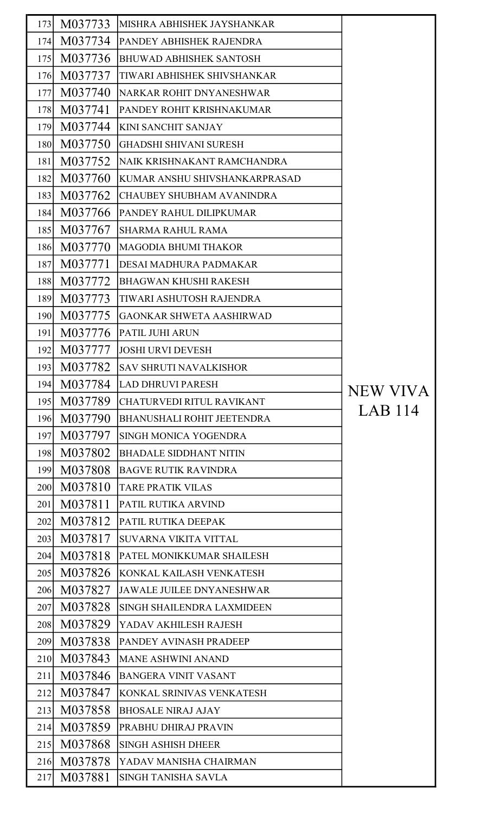| 173 | M037733 | IMISHRA ABHISHEK JAYSHANKAR        |                 |
|-----|---------|------------------------------------|-----------------|
| 174 | M037734 | <b>PANDEY ABHISHEK RAJENDRA</b>    |                 |
| 175 | M037736 | <b>BHUWAD ABHISHEK SANTOSH</b>     |                 |
| 176 | M037737 | TIWARI ABHISHEK SHIVSHANKAR        |                 |
| 177 | M037740 | NARKAR ROHIT DNYANESHWAR           |                 |
| 178 | M037741 | PANDEY ROHIT KRISHNAKUMAR          |                 |
| 179 | M037744 | <b>KINI SANCHIT SANJAY</b>         |                 |
| 180 | M037750 | GHADSHI SHIVANI SURESH             |                 |
| 181 | M037752 | <b>NAIK KRISHNAKANT RAMCHANDRA</b> |                 |
| 182 | M037760 | KUMAR ANSHU SHIVSHANKARPRASAD      |                 |
| 183 | M037762 | <b>CHAUBEY SHUBHAM AVANINDRA</b>   |                 |
| 184 | M037766 | PANDEY RAHUL DILIPKUMAR            |                 |
| 185 | M037767 | <b>SHARMA RAHUL RAMA</b>           |                 |
| 186 | M037770 | MAGODIA BHUMI THAKOR               |                 |
| 187 | M037771 | DESAI MADHURA PADMAKAR             |                 |
| 188 | M037772 | <b>BHAGWAN KHUSHI RAKESH</b>       |                 |
| 189 | M037773 | TIWARI ASHUTOSH RAJENDRA           |                 |
| 190 | M037775 | GAONKAR SHWETA AASHIRWAD           |                 |
| 191 | M037776 | <b>PATIL JUHI ARUN</b>             |                 |
| 192 | M037777 | <b>JOSHI URVI DEVESH</b>           |                 |
| 193 | M037782 | <b>SAV SHRUTI NAVALKISHOR</b>      |                 |
| 194 | M037784 | <b>LAD DHRUVI PARESH</b>           | <b>NEW VIVA</b> |
| 195 | M037789 | CHATURVEDI RITUL RAVIKANT          |                 |
| 196 | M037790 | <b>BHANUSHALI ROHIT JEETENDRA</b>  | LAB 114         |
| 197 | M037797 | <b>SINGH MONICA YOGENDRA</b>       |                 |
| 198 | M037802 | <b>BHADALE SIDDHANT NITIN</b>      |                 |
| 199 | M037808 | <b>BAGVE RUTIK RAVINDRA</b>        |                 |
| 200 | M037810 | <b>TARE PRATIK VILAS</b>           |                 |
| 201 | M037811 | <b>PATIL RUTIKA ARVIND</b>         |                 |
| 202 | M037812 | <b>PATIL RUTIKA DEEPAK</b>         |                 |
| 203 | M037817 | SUVARNA VIKITA VITTAL              |                 |
| 204 | M037818 | PATEL MONIKKUMAR SHAILESH          |                 |
| 205 | M037826 | KONKAL KAILASH VENKATESH           |                 |
| 206 | M037827 | <b>JAWALE JUILEE DNYANESHWAR</b>   |                 |
| 207 | M037828 | SINGH SHAILENDRA LAXMIDEEN         |                 |
| 208 | M037829 | YADAV AKHILESH RAJESH              |                 |
| 209 | M037838 | <b>PANDEY AVINASH PRADEEP</b>      |                 |
| 210 | M037843 | <b>MANE ASHWINI ANAND</b>          |                 |
| 211 | M037846 | BANGERA VINIT VASANT               |                 |
| 212 | M037847 | KONKAL SRINIVAS VENKATESH          |                 |
| 213 | M037858 | <b>BHOSALE NIRAJ AJAY</b>          |                 |
| 214 | M037859 | <b>PRABHU DHIRAJ PRAVIN</b>        |                 |
| 215 | M037868 | <b>SINGH ASHISH DHEER</b>          |                 |
| 216 | M037878 | YADAV MANISHA CHAIRMAN             |                 |
| 217 | M037881 | <b>SINGH TANISHA SAVLA</b>         |                 |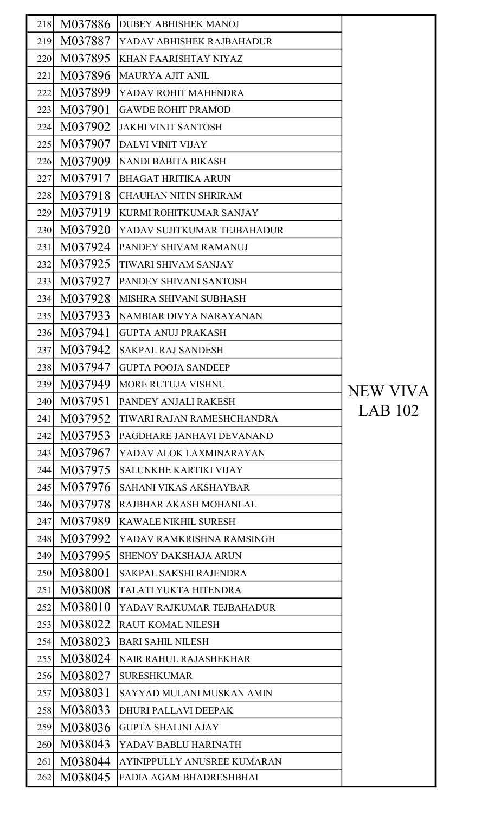| 218 | M037886 | <b>DUBEY ABHISHEK MANOJ</b>   |                 |
|-----|---------|-------------------------------|-----------------|
| 219 | M037887 | YADAV ABHISHEK RAJBAHADUR     |                 |
| 220 | M037895 | <b>KHAN FAARISHTAY NIYAZ</b>  |                 |
| 221 | M037896 | <b>MAURYA AJIT ANIL</b>       |                 |
| 222 | M037899 | <b>YADAV ROHIT MAHENDRA</b>   |                 |
| 223 | M037901 | <b>GAWDE ROHIT PRAMOD</b>     |                 |
| 224 | M037902 | <b>JAKHI VINIT SANTOSH</b>    |                 |
| 225 | M037907 | DALVI VINIT VIJAY             |                 |
| 226 | M037909 | NANDI BABITA BIKASH           |                 |
| 227 | M037917 | <b>BHAGAT HRITIKA ARUN</b>    |                 |
| 228 | M037918 | İCHAUHAN NITIN SHRIRAM        |                 |
| 229 | M037919 | KURMI ROHITKUMAR SANJAY       |                 |
| 230 | M037920 | YADAV SUJITKUMAR TEJBAHADUR   |                 |
| 231 | M037924 | <b>PANDEY SHIVAM RAMANUJ</b>  |                 |
| 232 | M037925 | <b>TIWARI SHIVAM SANJAY</b>   |                 |
| 233 | M037927 | <b>PANDEY SHIVANI SANTOSH</b> |                 |
| 234 | M037928 | <b>MISHRA SHIVANI SUBHASH</b> |                 |
| 235 | M037933 | NAMBIAR DIVYA NARAYANAN       |                 |
| 236 | M037941 | <b>GUPTA ANUJ PRAKASH</b>     |                 |
| 237 | M037942 | <b>SAKPAL RAJ SANDESH</b>     |                 |
| 238 | M037947 | <b>GUPTA POOJA SANDEEP</b>    |                 |
| 239 | M037949 | <b>MORE RUTUJA VISHNU</b>     | <b>NEW VIVA</b> |
| 240 | M037951 | PANDEY ANJALI RAKESH          |                 |
| 241 | M037952 | TIWARI RAJAN RAMESHCHANDRA    | LAB 102         |
| 242 | M037953 | PAGDHARE JANHAVI DEVANAND     |                 |
| 243 | M037967 | YADAV ALOK LAXMINARAYAN       |                 |
| 244 | M037975 | <b>SALUNKHE KARTIKI VIJAY</b> |                 |
| 245 | M037976 | <b>SAHANI VIKAS AKSHAYBAR</b> |                 |
| 246 | M037978 | RAJBHAR AKASH MOHANLAL        |                 |
| 247 | M037989 | <b>KAWALE NIKHIL SURESH</b>   |                 |
| 248 | M037992 | YADAV RAMKRISHNA RAMSINGH     |                 |
| 249 | M037995 | <b>SHENOY DAKSHAJA ARUN</b>   |                 |
| 250 | M038001 | SAKPAL SAKSHI RAJENDRA        |                 |
| 251 | M038008 | TALATI YUKTA HITENDRA         |                 |
| 252 | M038010 | YADAV RAJKUMAR TEJBAHADUR     |                 |
| 253 | M038022 | <b>RAUT KOMAL NILESH</b>      |                 |
| 254 | M038023 | <b>BARI SAHIL NILESH</b>      |                 |
| 255 | M038024 | <b>NAIR RAHUL RAJASHEKHAR</b> |                 |
| 256 | M038027 | <b>SURESHKUMAR</b>            |                 |
| 257 | M038031 | SAYYAD MULANI MUSKAN AMIN     |                 |
| 258 | M038033 | <b>DHURI PALLAVI DEEPAK</b>   |                 |
| 259 | M038036 | <b>GUPTA SHALINI AJAY</b>     |                 |
| 260 | M038043 | YADAV BABLU HARINATH          |                 |
| 261 | M038044 | AYINIPPULLY ANUSREE KUMARAN   |                 |
| 262 | M038045 | FADIA AGAM BHADRESHBHAI       |                 |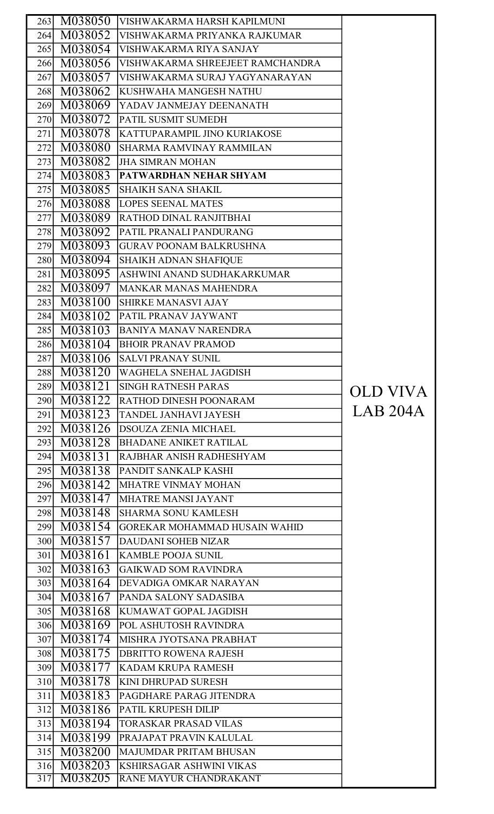|                         | 263 M038050        | VISHWAKARMA HARSH KAPILMUNI                               |          |
|-------------------------|--------------------|-----------------------------------------------------------|----------|
| 264                     | M038052            | VISHWAKARMA PRIYANKA RAJKUMAR                             |          |
|                         | 265 M038054        | VISHWAKARMA RIYA SANJAY                                   |          |
|                         | 266 M038056        | VISHWAKARMA SHREEJEET RAMCHANDRA                          |          |
|                         | 267 M038057        | VISHWAKARMA SURAJ YAGYANARAYAN                            |          |
|                         |                    |                                                           |          |
|                         | 268 M038062        | KUSHWAHA MANGESH NATHU                                    |          |
|                         | 269 M038069        | YADAV JANMEJAY DEENANATH                                  |          |
|                         | 270 M038072        | <b>PATIL SUSMIT SUMEDH</b>                                |          |
| 271                     | M038078            | KATTUPARAMPIL JINO KURIAKOSE                              |          |
| 272                     | M038080            | SHARMA RAMVINAY RAMMILAN                                  |          |
| 273                     | M038082            | <b>JHA SIMRAN MOHAN</b>                                   |          |
|                         | 274 M038083        | <b>PATWARDHAN NEHAR SHYAM</b>                             |          |
|                         | 275 M038085        | <b>SHAIKH SANA SHAKIL</b>                                 |          |
|                         | 276 M038088        | <b>LOPES SEENAL MATES</b>                                 |          |
|                         | 277 M038089        | RATHOD DINAL RANJITBHAI                                   |          |
|                         | 278 M038092        | <b>PATIL PRANALI PANDURANG</b>                            |          |
|                         | 279 M038093        | <b>GURAV POONAM BALKRUSHNA</b>                            |          |
|                         | 280 M038094        | <b>SHAIKH ADNAN SHAFIQUE</b>                              |          |
| 281                     | M038095            | ASHWINI ANAND SUDHAKARKUMAR                               |          |
| 282                     | M038097            | MANKAR MANAS MAHENDRA                                     |          |
| 283                     | M038100            | <b>SHIRKE MANASVI AJAY</b>                                |          |
| 284                     | M038102            | PATIL PRANAV JAYWANT                                      |          |
|                         | 285 M038103        | <b>BANIYA MANAV NARENDRA</b>                              |          |
|                         | 286 M038104        | <b>BHOIR PRANAV PRAMOD</b>                                |          |
| 287                     | M038106            | <b>SALVI PRANAY SUNIL</b>                                 |          |
|                         |                    | 288 M038120 WAGHELA SNEHAL JAGDISH                        |          |
| 289                     | M038121            | <b>SINGH RATNESH PARAS</b>                                | OLD VIVA |
|                         | 290 M038122        | <b>RATHOD DINESH POONARAM</b>                             |          |
| 291                     | M038123            | <b>TANDEL JANHAVI JAYESH</b>                              | LAB 204A |
| 292                     | M038126            | <b>DSOUZA ZENIA MICHAEL</b>                               |          |
| 293                     | M038128            | BHADANE ANIKET RATILAL                                    |          |
| 294                     | M038131            | RAJBHAR ANISH RADHESHYAM                                  |          |
|                         | 295 M038138        | <b>PANDIT SANKALP KASHI</b>                               |          |
|                         | 296 M038142        | MHATRE VINMAY MOHAN                                       |          |
|                         | 297 M038147        | MHATRE MANSI JAYANT                                       |          |
|                         | 298 M038148        | <b>SHARMA SONU KAMLESH</b>                                |          |
|                         | 299 M038154        | GOREKAR MOHAMMAD HUSAIN WAHID                             |          |
|                         | 300 M038157        | <b>DAUDANI SOHEB NIZAR</b>                                |          |
|                         | 301 M038161        | <b>KAMBLE POOJA SUNIL</b>                                 |          |
| 302                     | M038163            | <b>GAIKWAD SOM RAVINDRA</b>                               |          |
|                         | 303 M038164        | <b>DEVADIGA OMKAR NARAYAN</b>                             |          |
|                         | 304 M038167        | PANDA SALONY SADASIBA                                     |          |
|                         | 305 M038168        | KUMAWAT GOPAL JAGDISH                                     |          |
|                         | 306 M038169        | <b>POL ASHUTOSH RAVINDRA</b>                              |          |
|                         | 307 M038174        | <b>MISHRA JYOTSANA PRABHAT</b>                            |          |
|                         | 308 M038175        | <b>DBRITTO ROWENA RAJESH</b>                              |          |
|                         | 309 M038177        | <b>KADAM KRUPA RAMESH</b>                                 |          |
|                         | 310 M038178        | KINI DHRUPAD SURESH                                       |          |
| 311                     | M038183            | PAGDHARE PARAG JITENDRA                                   |          |
| 312                     |                    |                                                           |          |
|                         | M038186            | <b>PATIL KRUPESH DILIP</b>                                |          |
| 313                     | M038194            | <b>TORASKAR PRASAD VILAS</b>                              |          |
|                         |                    | 314 M038199 PRAJAPAT PRAVIN KALULAL                       |          |
| 315                     | M038200            | <b>MAJUMDAR PRITAM BHUSAN</b>                             |          |
| 316<br>$\overline{317}$ | M038203<br>M038205 | <b>KSHIRSAGAR ASHWINI VIKAS</b><br>RANE MAYUR CHANDRAKANT |          |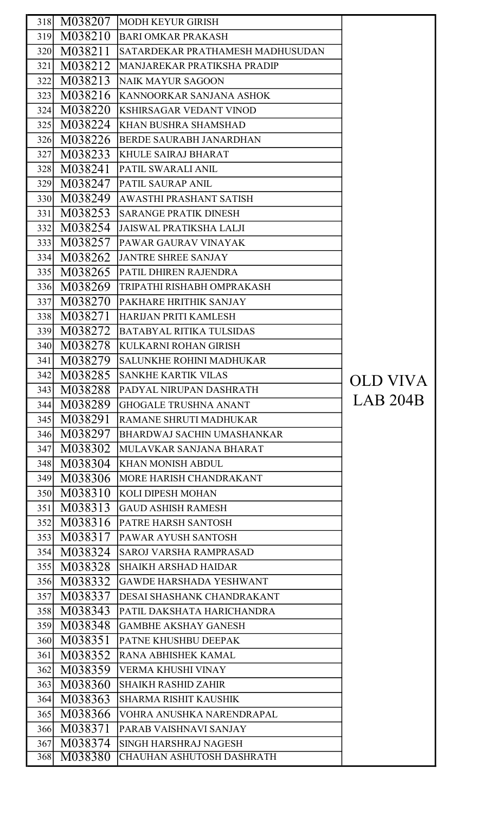|     |             | 318 M038207 MODH KEYUR GIRISH     |                 |
|-----|-------------|-----------------------------------|-----------------|
|     |             | 319 M038210 BARI OMKAR PRAKASH    |                 |
|     | 320 M038211 | SATARDEKAR PRATHAMESH MADHUSUDAN  |                 |
| 321 | M038212     | MANJAREKAR PRATIKSHA PRADIP       |                 |
|     | 322 M038213 | NAIK MAYUR SAGOON                 |                 |
|     | 323 M038216 | <b>KANNOORKAR SANJANA ASHOK</b>   |                 |
|     | 324 M038220 | <b>KSHIRSAGAR VEDANT VINOD</b>    |                 |
|     | 325 M038224 | <b>KHAN BUSHRA SHAMSHAD</b>       |                 |
|     | 326 M038226 | BERDE SAURABH JANARDHAN           |                 |
| 327 | M038233     | KHULE SAIRAJ BHARAT               |                 |
| 328 | M038241     | PATIL SWARALI ANIL                |                 |
|     | 329 M038247 | <b>PATIL SAURAP ANIL</b>          |                 |
|     | 330 M038249 | AWASTHI PRASHANT SATISH           |                 |
| 331 | M038253     | SARANGE PRATIK DINESH             |                 |
|     | 332 M038254 | <b>JAISWAL PRATIKSHA LALJI</b>    |                 |
|     | 333 M038257 | <b>PAWAR GAURAV VINAYAK</b>       |                 |
|     | 334 M038262 | <b>JANTRE SHREE SANJAY</b>        |                 |
|     | 335 M038265 | <b>PATIL DHIREN RAJENDRA</b>      |                 |
|     | 336 M038269 | <b>TRIPATHI RISHABH OMPRAKASH</b> |                 |
|     | 337 M038270 | PAKHARE HRITHIK SANJAY            |                 |
|     | 338 M038271 | HARIJAN PRITI KAMLESH             |                 |
|     | 339 M038272 | BATABYAL RITIKA TULSIDAS          |                 |
|     | 340 M038278 | KULKARNI ROHAN GIRISH             |                 |
| 341 | M038279     | SALUNKHE ROHINI MADHUKAR          |                 |
|     |             | 342 M038285 SANKHE KARTIK VILAS   |                 |
| 343 | M038288     | <b>PADYAL NIRUPAN DASHRATH</b>    | <b>OLD VIVA</b> |
|     | 344 M038289 | <b>GHOGALE TRUSHNA ANANT</b>      | LAB 204B        |
|     | 345 M038291 | RAMANE SHRUTI MADHUKAR            |                 |
|     | 346 M038297 | <b>BHARDWAJ SACHIN UMASHANKAR</b> |                 |
| 347 | M038302     | MULAVKAR SANJANA BHARAT           |                 |
|     | 348 M038304 | <b>KHAN MONISH ABDUL</b>          |                 |
|     | 349 M038306 | MORE HARISH CHANDRAKANT           |                 |
| 350 | M038310     | <b>KOLI DIPESH MOHAN</b>          |                 |
| 351 | M038313     | GAUD ASHISH RAMESH                |                 |
| 352 | M038316     | <b>PATRE HARSH SANTOSH</b>        |                 |
| 353 | M038317     | PAWAR AYUSH SANTOSH               |                 |
| 354 | M038324     | <b>SAROJ VARSHA RAMPRASAD</b>     |                 |
|     | 355 M038328 | <b>SHAIKH ARSHAD HAIDAR</b>       |                 |
|     | 356 M038332 | <b>GAWDE HARSHADA YESHWANT</b>    |                 |
| 357 | M038337     | DESAI SHASHANK CHANDRAKANT        |                 |
|     | 358 M038343 | PATIL DAKSHATA HARICHANDRA        |                 |
| 359 | M038348     | <b>GAMBHE AKSHAY GANESH</b>       |                 |
|     | 360 M038351 | PATNE KHUSHBU DEEPAK              |                 |
| 361 | M038352     | <b>RANA ABHISHEK KAMAL</b>        |                 |
| 362 | M038359     | VERMA KHUSHI VINAY                |                 |
| 363 | M038360     | <b>SHAIKH RASHID ZAHIR</b>        |                 |
| 364 | M038363     | <b>SHARMA RISHIT KAUSHIK</b>      |                 |
| 365 | M038366     | VOHRA ANUSHKA NARENDRAPAL         |                 |
| 366 | M038371     | <b>PARAB VAISHNAVI SANJAY</b>     |                 |
| 367 | M038374     | <b>SINGH HARSHRAJ NAGESH</b>      |                 |
| 368 | M038380     | CHAUHAN ASHUTOSH DASHRATH         |                 |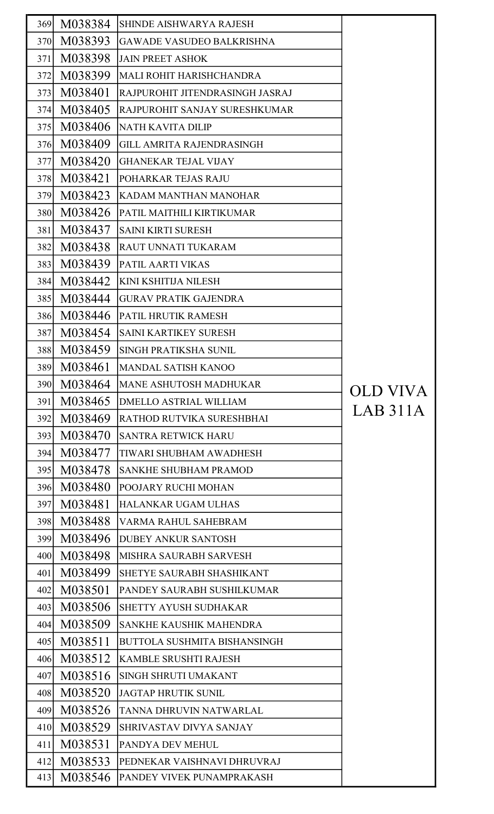| 369 | M038384 | <b>SHINDE AISHWARYA RAJESH</b>      |          |
|-----|---------|-------------------------------------|----------|
| 370 | M038393 | <b>GAWADE VASUDEO BALKRISHNA</b>    |          |
| 371 | M038398 | <b>JAIN PREET ASHOK</b>             |          |
| 372 | M038399 | <b>MALI ROHIT HARISHCHANDRA</b>     |          |
| 373 | M038401 | RAJPUROHIT JITENDRASINGH JASRAJ     |          |
| 374 | M038405 | RAJPUROHIT SANJAY SURESHKUMAR       |          |
| 375 | M038406 | <b>NATH KAVITA DILIP</b>            |          |
| 376 | M038409 | <b>GILL AMRITA RAJENDRASINGH</b>    |          |
| 377 | M038420 | <b>GHANEKAR TEJAL VIJAY</b>         |          |
| 378 | M038421 | POHARKAR TEJAS RAJU                 |          |
| 379 | M038423 | KADAM MANTHAN MANOHAR               |          |
| 380 | M038426 | PATIL MAITHILI KIRTIKUMAR           |          |
| 381 | M038437 | <b>SAINI KIRTI SURESH</b>           |          |
| 382 | M038438 | <b>RAUT UNNATI TUKARAM</b>          |          |
| 383 | M038439 | PATIL AARTI VIKAS                   |          |
| 384 | M038442 | <b>KINI KSHITIJA NILESH</b>         |          |
| 385 | M038444 | <b>GURAV PRATIK GAJENDRA</b>        |          |
| 386 | M038446 | PATIL HRUTIK RAMESH                 |          |
| 387 | M038454 | SAINI KARTIKEY SURESH               |          |
| 388 | M038459 | SINGH PRATIKSHA SUNIL               |          |
| 389 | M038461 | <b>MANDAL SATISH KANOO</b>          |          |
| 390 | M038464 | MANE ASHUTOSH MADHUKAR              | OLD VIVA |
| 391 | M038465 | <b>DMELLO ASTRIAL WILLIAM</b>       | LAB 311A |
| 392 | M038469 | RATHOD RUTVIKA SURESHBHAI           |          |
| 393 | M038470 | <b>SANTRA RETWICK HARU</b>          |          |
| 394 | M038477 | <b>TIWARI SHUBHAM AWADHESH</b>      |          |
| 395 | M038478 | <b>SANKHE SHUBHAM PRAMOD</b>        |          |
| 396 | M038480 | POOJARY RUCHI MOHAN                 |          |
| 397 | M038481 | <b>HALANKAR UGAM ULHAS</b>          |          |
| 398 | M038488 | VARMA RAHUL SAHEBRAM                |          |
| 399 | M038496 | <b>DUBEY ANKUR SANTOSH</b>          |          |
| 400 | M038498 | MISHRA SAURABH SARVESH              |          |
| 401 | M038499 | SHETYE SAURABH SHASHIKANT           |          |
| 402 | M038501 | PANDEY SAURABH SUSHILKUMAR          |          |
| 403 | M038506 | <b>SHETTY AYUSH SUDHAKAR</b>        |          |
| 404 | M038509 | <b>SANKHE KAUSHIK MAHENDRA</b>      |          |
| 405 | M038511 | <b>BUTTOLA SUSHMITA BISHANSINGH</b> |          |
| 406 | M038512 | <b>KAMBLE SRUSHTI RAJESH</b>        |          |
| 407 | M038516 | SINGH SHRUTI UMAKANT                |          |
| 408 | M038520 | <b>JAGTAP HRUTIK SUNIL</b>          |          |
| 409 | M038526 | TANNA DHRUVIN NATWARLAL             |          |
| 410 | M038529 | <b>SHRIVASTAV DIVYA SANJAY</b>      |          |
| 411 | M038531 | PANDYA DEV MEHUL                    |          |
| 412 | M038533 | PEDNEKAR VAISHNAVI DHRUVRAJ         |          |
| 413 | M038546 | PANDEY VIVEK PUNAMPRAKASH           |          |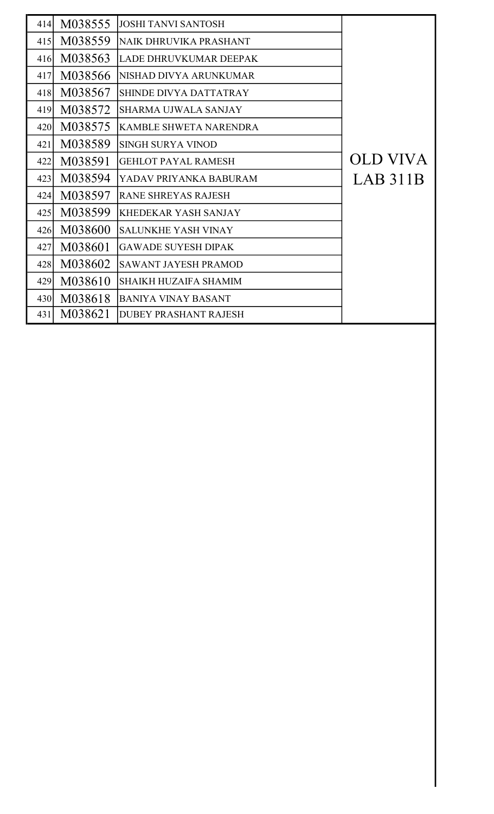| M038555<br><b>JOSHI TANVI SANTOSH</b><br>414<br>M038559<br>415<br>NAIK DHRUVIKA PRASHANT<br>M038563<br>416<br>LADE DHRUVKUMAR DEEPAK<br>M038566<br>417<br>NISHAD DIVYA ARUNKUMAR<br>M038567<br>418<br>SHINDE DIVYA DATTATRAY<br>M038572<br>419<br><b>SHARMA UJWALA SANJAY</b><br>M038575<br><b>KAMBLE SHWETA NARENDRA</b><br>420<br>M038589<br>421<br><b>SINGH SURYA VINOD</b><br><b>OLD VIVA</b><br>M038591<br>422<br><b>GEHLOT PAYAL RAMESH</b><br>LAB 311B<br>M038594<br>423<br>YADAV PRIYANKA BABURAM<br>M038597<br>424<br><b>RANE SHREYAS RAJESH</b><br>M038599<br>425<br><b>KHEDEKAR YASH SANJAY</b><br>M038600<br>426<br><b>SALUNKHE YASH VINAY</b><br>M038601<br>427<br><b>GAWADE SUYESH DIPAK</b><br>M038602<br>428<br><b>SAWANT JAYESH PRAMOD</b><br>M038610<br>429<br><b>SHAIKH HUZAIFA SHAMIM</b><br>M038618<br>430<br>BANIYA VINAY BASANT<br>M038621<br>431<br><b>DUBEY PRASHANT RAJESH</b> |  |  |
|----------------------------------------------------------------------------------------------------------------------------------------------------------------------------------------------------------------------------------------------------------------------------------------------------------------------------------------------------------------------------------------------------------------------------------------------------------------------------------------------------------------------------------------------------------------------------------------------------------------------------------------------------------------------------------------------------------------------------------------------------------------------------------------------------------------------------------------------------------------------------------------------------------|--|--|
|                                                                                                                                                                                                                                                                                                                                                                                                                                                                                                                                                                                                                                                                                                                                                                                                                                                                                                          |  |  |
|                                                                                                                                                                                                                                                                                                                                                                                                                                                                                                                                                                                                                                                                                                                                                                                                                                                                                                          |  |  |
|                                                                                                                                                                                                                                                                                                                                                                                                                                                                                                                                                                                                                                                                                                                                                                                                                                                                                                          |  |  |
|                                                                                                                                                                                                                                                                                                                                                                                                                                                                                                                                                                                                                                                                                                                                                                                                                                                                                                          |  |  |
|                                                                                                                                                                                                                                                                                                                                                                                                                                                                                                                                                                                                                                                                                                                                                                                                                                                                                                          |  |  |
|                                                                                                                                                                                                                                                                                                                                                                                                                                                                                                                                                                                                                                                                                                                                                                                                                                                                                                          |  |  |
|                                                                                                                                                                                                                                                                                                                                                                                                                                                                                                                                                                                                                                                                                                                                                                                                                                                                                                          |  |  |
|                                                                                                                                                                                                                                                                                                                                                                                                                                                                                                                                                                                                                                                                                                                                                                                                                                                                                                          |  |  |
|                                                                                                                                                                                                                                                                                                                                                                                                                                                                                                                                                                                                                                                                                                                                                                                                                                                                                                          |  |  |
|                                                                                                                                                                                                                                                                                                                                                                                                                                                                                                                                                                                                                                                                                                                                                                                                                                                                                                          |  |  |
|                                                                                                                                                                                                                                                                                                                                                                                                                                                                                                                                                                                                                                                                                                                                                                                                                                                                                                          |  |  |
|                                                                                                                                                                                                                                                                                                                                                                                                                                                                                                                                                                                                                                                                                                                                                                                                                                                                                                          |  |  |
|                                                                                                                                                                                                                                                                                                                                                                                                                                                                                                                                                                                                                                                                                                                                                                                                                                                                                                          |  |  |
|                                                                                                                                                                                                                                                                                                                                                                                                                                                                                                                                                                                                                                                                                                                                                                                                                                                                                                          |  |  |
|                                                                                                                                                                                                                                                                                                                                                                                                                                                                                                                                                                                                                                                                                                                                                                                                                                                                                                          |  |  |
|                                                                                                                                                                                                                                                                                                                                                                                                                                                                                                                                                                                                                                                                                                                                                                                                                                                                                                          |  |  |
|                                                                                                                                                                                                                                                                                                                                                                                                                                                                                                                                                                                                                                                                                                                                                                                                                                                                                                          |  |  |
|                                                                                                                                                                                                                                                                                                                                                                                                                                                                                                                                                                                                                                                                                                                                                                                                                                                                                                          |  |  |